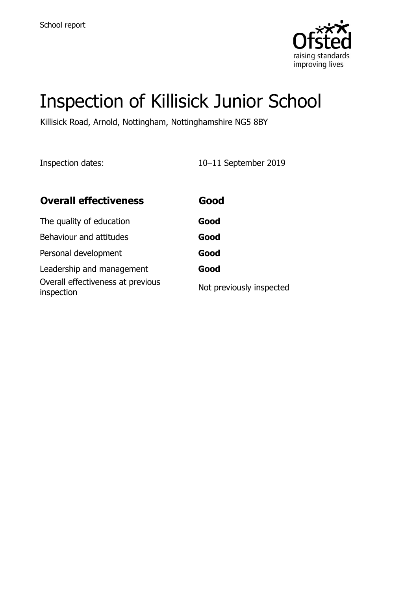

# Inspection of Killisick Junior School

Killisick Road, Arnold, Nottingham, Nottinghamshire NG5 8BY

Inspection dates: 10–11 September 2019

| <b>Overall effectiveness</b>                    | Good                     |
|-------------------------------------------------|--------------------------|
| The quality of education                        | Good                     |
| Behaviour and attitudes                         | Good                     |
| Personal development                            | Good                     |
| Leadership and management                       | Good                     |
| Overall effectiveness at previous<br>inspection | Not previously inspected |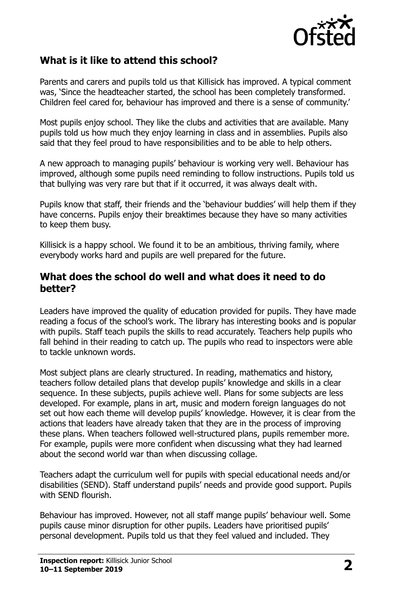

## **What is it like to attend this school?**

Parents and carers and pupils told us that Killisick has improved. A typical comment was, 'Since the headteacher started, the school has been completely transformed. Children feel cared for, behaviour has improved and there is a sense of community.'

Most pupils enjoy school. They like the clubs and activities that are available. Many pupils told us how much they enjoy learning in class and in assemblies. Pupils also said that they feel proud to have responsibilities and to be able to help others.

A new approach to managing pupils' behaviour is working very well. Behaviour has improved, although some pupils need reminding to follow instructions. Pupils told us that bullying was very rare but that if it occurred, it was always dealt with.

Pupils know that staff, their friends and the 'behaviour buddies' will help them if they have concerns. Pupils enjoy their breaktimes because they have so many activities to keep them busy.

Killisick is a happy school. We found it to be an ambitious, thriving family, where everybody works hard and pupils are well prepared for the future.

#### **What does the school do well and what does it need to do better?**

Leaders have improved the quality of education provided for pupils. They have made reading a focus of the school's work. The library has interesting books and is popular with pupils. Staff teach pupils the skills to read accurately. Teachers help pupils who fall behind in their reading to catch up. The pupils who read to inspectors were able to tackle unknown words.

Most subject plans are clearly structured. In reading, mathematics and history, teachers follow detailed plans that develop pupils' knowledge and skills in a clear sequence. In these subjects, pupils achieve well. Plans for some subjects are less developed. For example, plans in art, music and modern foreign languages do not set out how each theme will develop pupils' knowledge. However, it is clear from the actions that leaders have already taken that they are in the process of improving these plans. When teachers followed well-structured plans, pupils remember more. For example, pupils were more confident when discussing what they had learned about the second world war than when discussing collage.

Teachers adapt the curriculum well for pupils with special educational needs and/or disabilities (SEND). Staff understand pupils' needs and provide good support. Pupils with SEND flourish.

Behaviour has improved. However, not all staff mange pupils' behaviour well. Some pupils cause minor disruption for other pupils. Leaders have prioritised pupils' personal development. Pupils told us that they feel valued and included. They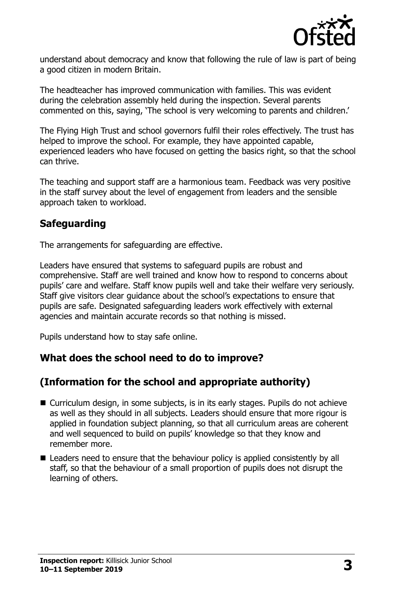

understand about democracy and know that following the rule of law is part of being a good citizen in modern Britain.

The headteacher has improved communication with families. This was evident during the celebration assembly held during the inspection. Several parents commented on this, saying, 'The school is very welcoming to parents and children.'

The Flying High Trust and school governors fulfil their roles effectively. The trust has helped to improve the school. For example, they have appointed capable, experienced leaders who have focused on getting the basics right, so that the school can thrive.

The teaching and support staff are a harmonious team. Feedback was very positive in the staff survey about the level of engagement from leaders and the sensible approach taken to workload.

## **Safeguarding**

The arrangements for safeguarding are effective.

Leaders have ensured that systems to safeguard pupils are robust and comprehensive. Staff are well trained and know how to respond to concerns about pupils' care and welfare. Staff know pupils well and take their welfare very seriously. Staff give visitors clear guidance about the school's expectations to ensure that pupils are safe. Designated safeguarding leaders work effectively with external agencies and maintain accurate records so that nothing is missed.

Pupils understand how to stay safe online.

## **What does the school need to do to improve?**

## **(Information for the school and appropriate authority)**

- Curriculum design, in some subjects, is in its early stages. Pupils do not achieve as well as they should in all subjects. Leaders should ensure that more rigour is applied in foundation subject planning, so that all curriculum areas are coherent and well sequenced to build on pupils' knowledge so that they know and remember more.
- Leaders need to ensure that the behaviour policy is applied consistently by all staff, so that the behaviour of a small proportion of pupils does not disrupt the learning of others.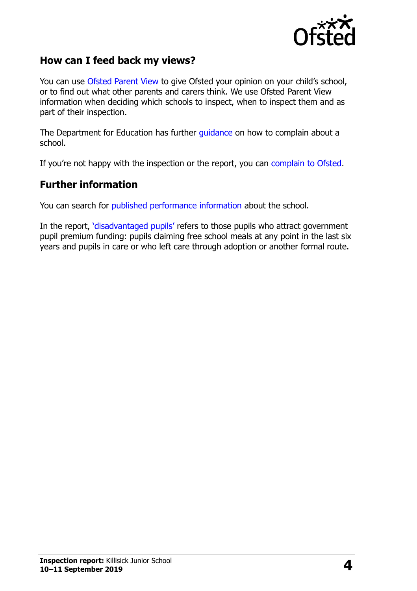

### **How can I feed back my views?**

You can use [Ofsted Parent View](http://parentview.ofsted.gov.uk/) to give Ofsted your opinion on your child's school, or to find out what other parents and carers think. We use Ofsted Parent View information when deciding which schools to inspect, when to inspect them and as part of their inspection.

The Department for Education has further [guidance](http://www.gov.uk/complain-about-school) on how to complain about a school.

If you're not happy with the inspection or the report, you can [complain to Ofsted.](http://www.gov.uk/complain-ofsted-report)

#### **Further information**

You can search for [published performance information](http://www.compare-school-performance.service.gov.uk/) about the school.

In the report, '[disadvantaged pupils](http://www.gov.uk/guidance/pupil-premium-information-for-schools-and-alternative-provision-settings)' refers to those pupils who attract government pupil premium funding: pupils claiming free school meals at any point in the last six years and pupils in care or who left care through adoption or another formal route.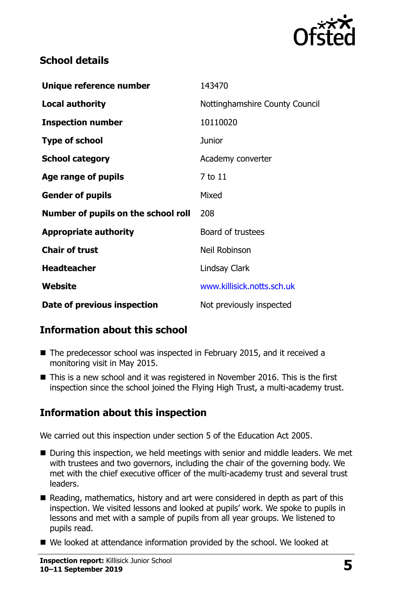

## **School details**

| Unique reference number             | 143470                         |
|-------------------------------------|--------------------------------|
| <b>Local authority</b>              | Nottinghamshire County Council |
| <b>Inspection number</b>            | 10110020                       |
| <b>Type of school</b>               | <b>Junior</b>                  |
| <b>School category</b>              | Academy converter              |
| Age range of pupils                 | 7 to 11                        |
| <b>Gender of pupils</b>             | Mixed                          |
| Number of pupils on the school roll | 208                            |
| <b>Appropriate authority</b>        | Board of trustees              |
| <b>Chair of trust</b>               | Neil Robinson                  |
| <b>Headteacher</b>                  | <b>Lindsay Clark</b>           |
| Website                             | www.killisick.notts.sch.uk     |
| Date of previous inspection         | Not previously inspected       |

## **Information about this school**

- The predecessor school was inspected in February 2015, and it received a monitoring visit in May 2015.
- This is a new school and it was registered in November 2016. This is the first inspection since the school joined the Flying High Trust, a multi-academy trust.

# **Information about this inspection**

We carried out this inspection under section 5 of the Education Act 2005.

- During this inspection, we held meetings with senior and middle leaders. We met with trustees and two governors, including the chair of the governing body. We met with the chief executive officer of the multi-academy trust and several trust leaders.
- Reading, mathematics, history and art were considered in depth as part of this inspection. We visited lessons and looked at pupils' work. We spoke to pupils in lessons and met with a sample of pupils from all year groups. We listened to pupils read.
- We looked at attendance information provided by the school. We looked at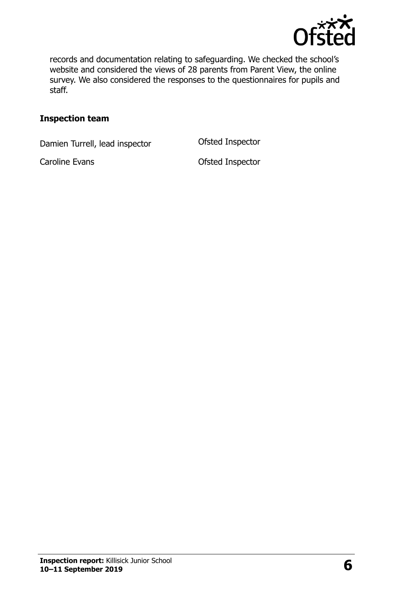

records and documentation relating to safeguarding. We checked the school's website and considered the views of 28 parents from Parent View, the online survey. We also considered the responses to the questionnaires for pupils and staff.

#### **Inspection team**

Damien Turrell, lead inspector **Ofsted Inspector** 

Caroline Evans **Caroline Evans Caroline Evans**